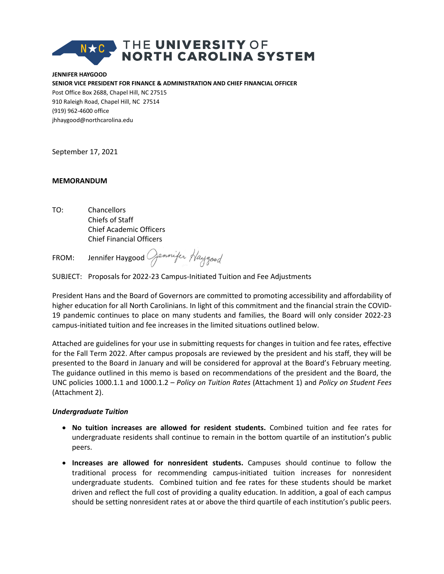# THE UNIVERSITY OF<br>NORTH CAROLINA SYSTEM

**JENNIFER HAYGOOD SENIOR VICE PRESIDENT FOR FINANCE & ADMINISTRATION AND CHIEF FINANCIAL OFFICER** Post Office Box 2688, Chapel Hill, NC 27515 910 Raleigh Road, Chapel Hill, NC 27514 (919) 962-4600 office jhhaygood@northcarolina.edu

September 17, 2021

#### **MEMORANDUM**

TO: Chancellors Chiefs of Staff Chief Academic Officers Chief Financial Officers

FROM: Jennifer Haygood Jennifer Haygood

SUBJECT: Proposals for 2022-23 Campus-Initiated Tuition and Fee Adjustments

President Hans and the Board of Governors are committed to promoting accessibility and affordability of higher education for all North Carolinians. In light of this commitment and the financial strain the COVID-19 pandemic continues to place on many students and families, the Board will only consider 2022-23 campus-initiated tuition and fee increases in the limited situations outlined below.

Attached are guidelines for your use in submitting requests for changes in tuition and fee rates, effective for the Fall Term 2022. After campus proposals are reviewed by the president and his staff, they will be presented to the Board in January and will be considered for approval at the Board's February meeting. The guidance outlined in this memo is based on recommendations of the president and the Board, the UNC policies 1000.1.1 and 1000.1.2 *– Policy on Tuition Rates* (Attachment 1) and *Policy on Student Fees* (Attachment 2).

#### *Undergraduate Tuition*

- **No tuition increases are allowed for resident students.** Combined tuition and fee rates for undergraduate residents shall continue to remain in the bottom quartile of an institution's public peers.
- **Increases are allowed for nonresident students.** Campuses should continue to follow the traditional process for recommending campus-initiated tuition increases for nonresident undergraduate students. Combined tuition and fee rates for these students should be market driven and reflect the full cost of providing a quality education. In addition, a goal of each campus should be setting nonresident rates at or above the third quartile of each institution's public peers.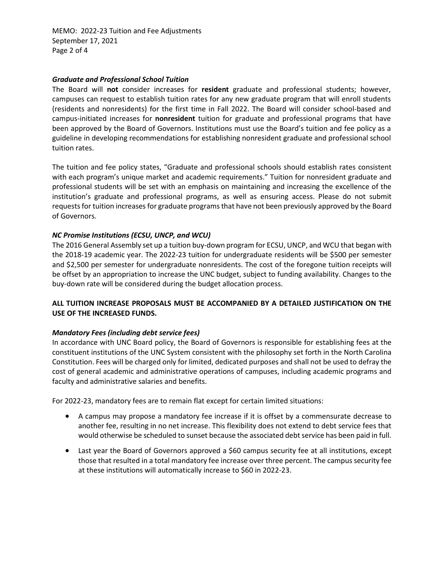MEMO: 2022-23 Tuition and Fee Adjustments September 17, 2021 Page 2 of 4

#### *Graduate and Professional School Tuition*

The Board will **not** consider increases for **resident** graduate and professional students; however, campuses can request to establish tuition rates for any new graduate program that will enroll students (residents and nonresidents) for the first time in Fall 2022. The Board will consider school-based and campus-initiated increases for **nonresident** tuition for graduate and professional programs that have been approved by the Board of Governors. Institutions must use the Board's tuition and fee policy as a guideline in developing recommendations for establishing nonresident graduate and professional school tuition rates.

The tuition and fee policy states, "Graduate and professional schools should establish rates consistent with each program's unique market and academic requirements." Tuition for nonresident graduate and professional students will be set with an emphasis on maintaining and increasing the excellence of the institution's graduate and professional programs, as well as ensuring access. Please do not submit requests for tuition increases for graduate programs that have not been previously approved by the Board of Governors.

#### *NC Promise Institutions (ECSU, UNCP, and WCU)*

The 2016 General Assembly set up a tuition buy-down program for ECSU, UNCP, and WCU that began with the 2018-19 academic year. The 2022-23 tuition for undergraduate residents will be \$500 per semester and \$2,500 per semester for undergraduate nonresidents. The cost of the foregone tuition receipts will be offset by an appropriation to increase the UNC budget, subject to funding availability. Changes to the buy-down rate will be considered during the budget allocation process.

#### **ALL TUITION INCREASE PROPOSALS MUST BE ACCOMPANIED BY A DETAILED JUSTIFICATION ON THE USE OF THE INCREASED FUNDS.**

#### *Mandatory Fees (including debt service fees)*

In accordance with UNC Board policy, the Board of Governors is responsible for establishing fees at the constituent institutions of the UNC System consistent with the philosophy set forth in the North Carolina Constitution. Fees will be charged only for limited, dedicated purposes and shall not be used to defray the cost of general academic and administrative operations of campuses, including academic programs and faculty and administrative salaries and benefits.

For 2022-23, mandatory fees are to remain flat except for certain limited situations:

- A campus may propose a mandatory fee increase if it is offset by a commensurate decrease to another fee, resulting in no net increase. This flexibility does not extend to debt service fees that would otherwise be scheduled to sunset because the associated debt service has been paid in full.
- Last year the Board of Governors approved a \$60 campus security fee at all institutions, except those that resulted in a total mandatory fee increase over three percent. The campus security fee at these institutions will automatically increase to \$60 in 2022-23.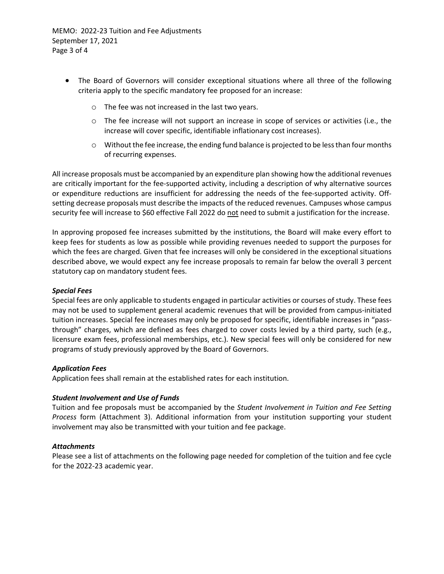MEMO: 2022-23 Tuition and Fee Adjustments September 17, 2021 Page 3 of 4

- The Board of Governors will consider exceptional situations where all three of the following criteria apply to the specific mandatory fee proposed for an increase:
	- o The fee was not increased in the last two years.
	- o The fee increase will not support an increase in scope of services or activities (i.e., the increase will cover specific, identifiable inflationary cost increases).
	- $\circ$  Without the fee increase, the ending fund balance is projected to be less than four months of recurring expenses.

All increase proposals must be accompanied by an expenditure plan showing how the additional revenues are critically important for the fee-supported activity, including a description of why alternative sources or expenditure reductions are insufficient for addressing the needs of the fee-supported activity. Offsetting decrease proposals must describe the impacts of the reduced revenues. Campuses whose campus security fee will increase to \$60 effective Fall 2022 do not need to submit a justification for the increase.

In approving proposed fee increases submitted by the institutions, the Board will make every effort to keep fees for students as low as possible while providing revenues needed to support the purposes for which the fees are charged. Given that fee increases will only be considered in the exceptional situations described above, we would expect any fee increase proposals to remain far below the overall 3 percent statutory cap on mandatory student fees.

#### *Special Fees*

Special fees are only applicable to students engaged in particular activities or courses of study. These fees may not be used to supplement general academic revenues that will be provided from campus-initiated tuition increases. Special fee increases may only be proposed for specific, identifiable increases in "passthrough" charges, which are defined as fees charged to cover costs levied by a third party, such (e.g., licensure exam fees, professional memberships, etc.). New special fees will only be considered for new programs of study previously approved by the Board of Governors.

#### *Application Fees*

Application fees shall remain at the established rates for each institution.

#### *Student Involvement and Use of Funds*

Tuition and fee proposals must be accompanied by the *Student Involvement in Tuition and Fee Setting Process* form (Attachment 3). Additional information from your institution supporting your student involvement may also be transmitted with your tuition and fee package.

#### *Attachments*

Please see a list of attachments on the following page needed for completion of the tuition and fee cycle for the 2022-23 academic year.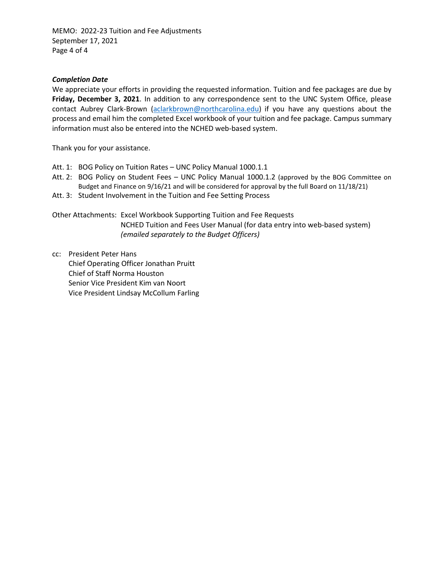MEMO: 2022-23 Tuition and Fee Adjustments September 17, 2021 Page 4 of 4

#### *Completion Date*

We appreciate your efforts in providing the requested information. Tuition and fee packages are due by **Friday, December 3, 2021**. In addition to any correspondence sent to the UNC System Office, please contact Aubrey Clark-Brown (aclarkbrown@northcarolina.edu) if you have any questions about the process and email him the completed Excel workbook of your tuition and fee package. Campus summary information must also be entered into the NCHED web-based system.

Thank you for your assistance.

- Att. 1: BOG Policy on Tuition Rates UNC Policy Manual 1000.1.1
- Att. 2: BOG Policy on Student Fees UNC Policy Manual 1000.1.2 (approved by the BOG Committee on Budget and Finance on 9/16/21 and will be considered for approval by the full Board on 11/18/21)
- Att. 3: Student Involvement in the Tuition and Fee Setting Process

Other Attachments: Excel Workbook Supporting Tuition and Fee Requests NCHED Tuition and Fees User Manual (for data entry into web-based system) *(emailed separately to the Budget Officers)*

cc: President Peter Hans Chief Operating Officer Jonathan Pruitt Chief of Staff Norma Houston Senior Vice President Kim van Noort Vice President Lindsay McCollum Farling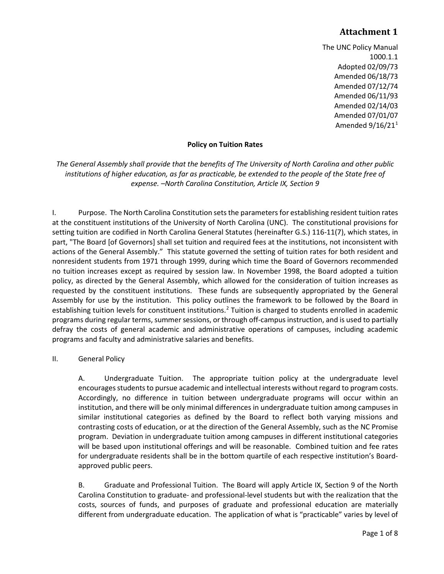The UNC Policy Manual 1000.1.1 Adopted 02/09/73 Amended 06/18/73 Amended 07/12/74 Amended 06/11/93 Amended 02/14/03 Amended 07/01/07 Amended  $9/16/21<sup>1</sup>$  $9/16/21<sup>1</sup>$  $9/16/21<sup>1</sup>$ 

#### **Policy on Tuition Rates**

*The General Assembly shall provide that the benefits of The University of North Carolina and other public institutions of higher education, as far as practicable, be extended to the people of the State free of expense. –North Carolina Constitution, Article IX, Section 9*

I. Purpose. The North Carolina Constitution sets the parameters for establishing resident tuition rates at the constituent institutions of the University of North Carolina (UNC). The constitutional provisions for setting tuition are codified in North Carolina General Statutes (hereinafter G.S.) 116-11(7), which states, in part, "The Board [of Governors] shall set tuition and required fees at the institutions, not inconsistent with actions of the General Assembly." This statute governed the setting of tuition rates for both resident and nonresident students from 1971 through 1999, during which time the Board of Governors recommended no tuition increases except as required by session law. In November 1998, the Board adopted a tuition policy, as directed by the General Assembly, which allowed for the consideration of tuition increases as requested by the constituent institutions. These funds are subsequently appropriated by the General Assembly for use by the institution. This policy outlines the framework to be followed by the Board in establishing tuition levels for constituent institutions.<sup>[2](#page-11-1)</sup> Tuition is charged to students enrolled in academic programs during regular terms, summer sessions, or through off-campus instruction, and is used to partially defray the costs of general academic and administrative operations of campuses, including academic programs and faculty and administrative salaries and benefits.

#### II. General Policy

A. Undergraduate Tuition. The appropriate tuition policy at the undergraduate level encourages students to pursue academic and intellectual interests without regard to program costs. Accordingly, no difference in tuition between undergraduate programs will occur within an institution, and there will be only minimal differences in undergraduate tuition among campuses in similar institutional categories as defined by the Board to reflect both varying missions and contrasting costs of education, or at the direction of the General Assembly, such as the NC Promise program. Deviation in undergraduate tuition among campuses in different institutional categories will be based upon institutional offerings and will be reasonable. Combined tuition and fee rates for undergraduate residents shall be in the bottom quartile of each respective institution's Boardapproved public peers.

B. Graduate and Professional Tuition. The Board will apply Article IX, Section 9 of the North Carolina Constitution to graduate- and professional-level students but with the realization that the costs, sources of funds, and purposes of graduate and professional education are materially different from undergraduate education. The application of what is "practicable" varies by level of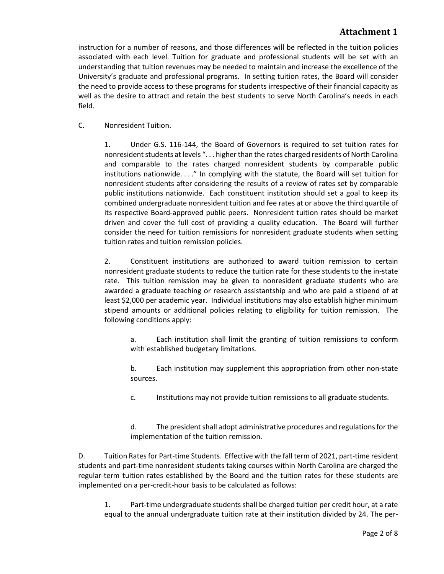instruction for a number of reasons, and those differences will be reflected in the tuition policies associated with each level. Tuition for graduate and professional students will be set with an understanding that tuition revenues may be needed to maintain and increase the excellence of the University's graduate and professional programs. In setting tuition rates, the Board will consider the need to provide access to these programs for students irrespective of their financial capacity as well as the desire to attract and retain the best students to serve North Carolina's needs in each field.

C. Nonresident Tuition.

1. Under G.S. 116-144, the Board of Governors is required to set tuition rates for nonresident students at levels ". . . higher than the rates charged residents of North Carolina and comparable to the rates charged nonresident students by comparable public institutions nationwide. . . ." In complying with the statute, the Board will set tuition for nonresident students after considering the results of a review of rates set by comparable public institutions nationwide. Each constituent institution should set a goal to keep its combined undergraduate nonresident tuition and fee rates at or above the third quartile of its respective Board-approved public peers. Nonresident tuition rates should be market driven and cover the full cost of providing a quality education. The Board will further consider the need for tuition remissions for nonresident graduate students when setting tuition rates and tuition remission policies.

2. Constituent institutions are authorized to award tuition remission to certain nonresident graduate students to reduce the tuition rate for these students to the in-state rate. This tuition remission may be given to nonresident graduate students who are awarded a graduate teaching or research assistantship and who are paid a stipend of at least \$2,000 per academic year. Individual institutions may also establish higher minimum stipend amounts or additional policies relating to eligibility for tuition remission. The following conditions apply:

a. Each institution shall limit the granting of tuition remissions to conform with established budgetary limitations.

b. Each institution may supplement this appropriation from other non-state sources.

c. Institutions may not provide tuition remissions to all graduate students.

d. The president shall adopt administrative procedures and regulations for the implementation of the tuition remission.

D. Tuition Rates for Part-time Students. Effective with the fall term of 2021, part-time resident students and part-time nonresident students taking courses within North Carolina are charged the regular-term tuition rates established by the Board and the tuition rates for these students are implemented on a per-credit-hour basis to be calculated as follows:

1. Part-time undergraduate students shall be charged tuition per credit hour, at a rate equal to the annual undergraduate tuition rate at their institution divided by 24. The per-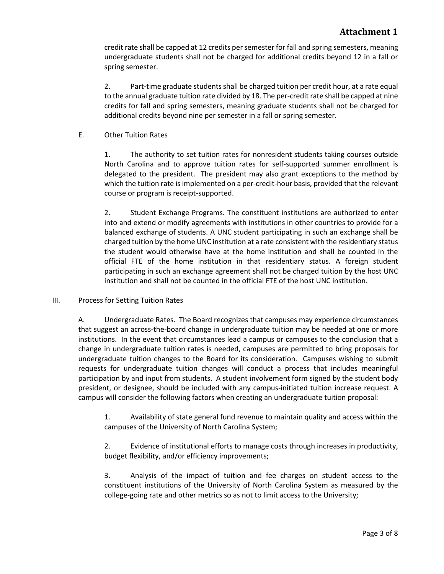credit rate shall be capped at 12 credits per semester for fall and spring semesters, meaning undergraduate students shall not be charged for additional credits beyond 12 in a fall or spring semester.

2. Part-time graduate students shall be charged tuition per credit hour, at a rate equal to the annual graduate tuition rate divided by 18. The per-credit rate shall be capped at nine credits for fall and spring semesters, meaning graduate students shall not be charged for additional credits beyond nine per semester in a fall or spring semester.

E. Other Tuition Rates

1. The authority to set tuition rates for nonresident students taking courses outside North Carolina and to approve tuition rates for self-supported summer enrollment is delegated to the president. The president may also grant exceptions to the method by which the tuition rate is implemented on a per-credit-hour basis, provided that the relevant course or program is receipt-supported.

2. Student Exchange Programs. The constituent institutions are authorized to enter into and extend or modify agreements with institutions in other countries to provide for a balanced exchange of students. A UNC student participating in such an exchange shall be charged tuition by the home UNC institution at a rate consistent with the residentiary status the student would otherwise have at the home institution and shall be counted in the official FTE of the home institution in that residentiary status. A foreign student participating in such an exchange agreement shall not be charged tuition by the host UNC institution and shall not be counted in the official FTE of the host UNC institution.

#### III. Process for Setting Tuition Rates

A. Undergraduate Rates. The Board recognizes that campuses may experience circumstances that suggest an across-the-board change in undergraduate tuition may be needed at one or more institutions. In the event that circumstances lead a campus or campuses to the conclusion that a change in undergraduate tuition rates is needed, campuses are permitted to bring proposals for undergraduate tuition changes to the Board for its consideration. Campuses wishing to submit requests for undergraduate tuition changes will conduct a process that includes meaningful participation by and input from students. A student involvement form signed by the student body president, or designee, should be included with any campus-initiated tuition increase request. A campus will consider the following factors when creating an undergraduate tuition proposal:

1. Availability of state general fund revenue to maintain quality and access within the campuses of the University of North Carolina System;

2. Evidence of institutional efforts to manage costs through increases in productivity, budget flexibility, and/or efficiency improvements;

3. Analysis of the impact of tuition and fee charges on student access to the constituent institutions of the University of North Carolina System as measured by the college-going rate and other metrics so as not to limit access to the University;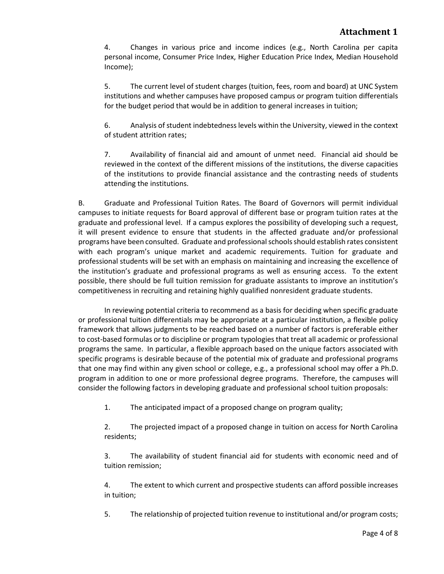4. Changes in various price and income indices (e.g., North Carolina per capita personal income, Consumer Price Index, Higher Education Price Index, Median Household Income);

5. The current level of student charges (tuition, fees, room and board) at UNC System institutions and whether campuses have proposed campus or program tuition differentials for the budget period that would be in addition to general increases in tuition;

6. Analysis of student indebtedness levels within the University, viewed in the context of student attrition rates;

7. Availability of financial aid and amount of unmet need. Financial aid should be reviewed in the context of the different missions of the institutions, the diverse capacities of the institutions to provide financial assistance and the contrasting needs of students attending the institutions.

B. Graduate and Professional Tuition Rates. The Board of Governors will permit individual campuses to initiate requests for Board approval of different base or program tuition rates at the graduate and professional level. If a campus explores the possibility of developing such a request, it will present evidence to ensure that students in the affected graduate and/or professional programs have been consulted. Graduate and professional schools should establish rates consistent with each program's unique market and academic requirements. Tuition for graduate and professional students will be set with an emphasis on maintaining and increasing the excellence of the institution's graduate and professional programs as well as ensuring access. To the extent possible, there should be full tuition remission for graduate assistants to improve an institution's competitiveness in recruiting and retaining highly qualified nonresident graduate students.

In reviewing potential criteria to recommend as a basis for deciding when specific graduate or professional tuition differentials may be appropriate at a particular institution, a flexible policy framework that allows judgments to be reached based on a number of factors is preferable either to cost-based formulas or to discipline or program typologies that treat all academic or professional programs the same. In particular, a flexible approach based on the unique factors associated with specific programs is desirable because of the potential mix of graduate and professional programs that one may find within any given school or college, e.g., a professional school may offer a Ph.D. program in addition to one or more professional degree programs. Therefore, the campuses will consider the following factors in developing graduate and professional school tuition proposals:

1. The anticipated impact of a proposed change on program quality;

2. The projected impact of a proposed change in tuition on access for North Carolina residents;

3. The availability of student financial aid for students with economic need and of tuition remission;

4. The extent to which current and prospective students can afford possible increases in tuition;

5. The relationship of projected tuition revenue to institutional and/or program costs;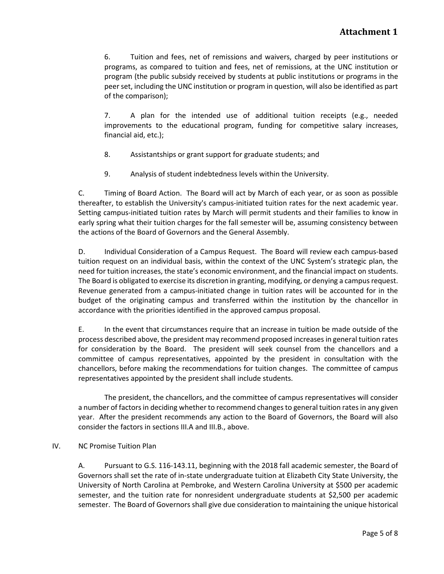6. Tuition and fees, net of remissions and waivers, charged by peer institutions or programs, as compared to tuition and fees, net of remissions, at the UNC institution or program (the public subsidy received by students at public institutions or programs in the peer set, including the UNC institution or program in question, will also be identified as part of the comparison);

7. A plan for the intended use of additional tuition receipts (e.g., needed improvements to the educational program, funding for competitive salary increases, financial aid, etc.);

- 8. Assistantships or grant support for graduate students; and
- 9. Analysis of student indebtedness levels within the University.

C. Timing of Board Action. The Board will act by March of each year, or as soon as possible thereafter, to establish the University's campus-initiated tuition rates for the next academic year. Setting campus-initiated tuition rates by March will permit students and their families to know in early spring what their tuition charges for the fall semester will be, assuming consistency between the actions of the Board of Governors and the General Assembly.

D. Individual Consideration of a Campus Request. The Board will review each campus-based tuition request on an individual basis, within the context of the UNC System's strategic plan, the need for tuition increases, the state's economic environment, and the financial impact on students. The Board is obligated to exercise its discretion in granting, modifying, or denying a campus request. Revenue generated from a campus-initiated change in tuition rates will be accounted for in the budget of the originating campus and transferred within the institution by the chancellor in accordance with the priorities identified in the approved campus proposal.

E. In the event that circumstances require that an increase in tuition be made outside of the process described above, the president may recommend proposed increases in general tuition rates for consideration by the Board. The president will seek counsel from the chancellors and a committee of campus representatives, appointed by the president in consultation with the chancellors, before making the recommendations for tuition changes. The committee of campus representatives appointed by the president shall include students.

The president, the chancellors, and the committee of campus representatives will consider a number of factors in deciding whether to recommend changes to general tuition rates in any given year. After the president recommends any action to the Board of Governors, the Board will also consider the factors in sections III.A and III.B., above.

#### IV. NC Promise Tuition Plan

A. Pursuant to G.S. 116-143.11, beginning with the 2018 fall academic semester, the Board of Governors shall set the rate of in-state undergraduate tuition at Elizabeth City State University, the University of North Carolina at Pembroke, and Western Carolina University at \$500 per academic semester, and the tuition rate for nonresident undergraduate students at \$2,500 per academic semester. The Board of Governors shall give due consideration to maintaining the unique historical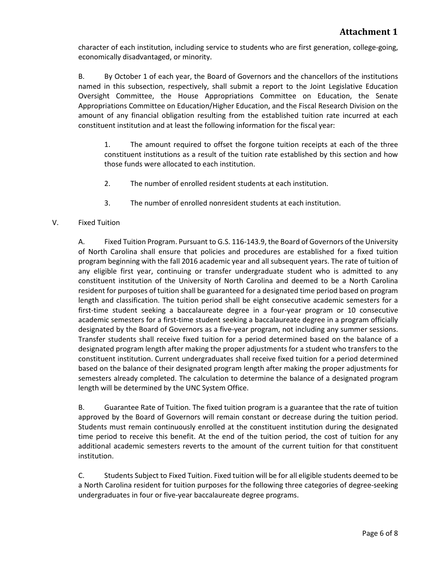character of each institution, including service to students who are first generation, college-going, economically disadvantaged, or minority.

B. By October 1 of each year, the Board of Governors and the chancellors of the institutions named in this subsection, respectively, shall submit a report to the Joint Legislative Education Oversight Committee, the House Appropriations Committee on Education, the Senate Appropriations Committee on Education/Higher Education, and the Fiscal Research Division on the amount of any financial obligation resulting from the established tuition rate incurred at each constituent institution and at least the following information for the fiscal year:

1. The amount required to offset the forgone tuition receipts at each of the three constituent institutions as a result of the tuition rate established by this section and how those funds were allocated to each institution.

- 2. The number of enrolled resident students at each institution.
- 3. The number of enrolled nonresident students at each institution.

#### V. Fixed Tuition

A. Fixed Tuition Program. Pursuant to G.S. 116-143.9, the Board of Governors of the University of North Carolina shall ensure that policies and procedures are established for a fixed tuition program beginning with the fall 2016 academic year and all subsequent years. The rate of tuition of any eligible first year, continuing or transfer undergraduate student who is admitted to any constituent institution of the University of North Carolina and deemed to be a North Carolina resident for purposes of tuition shall be guaranteed for a designated time period based on program length and classification. The tuition period shall be eight consecutive academic semesters for a first-time student seeking a baccalaureate degree in a four-year program or 10 consecutive academic semesters for a first-time student seeking a baccalaureate degree in a program officially designated by the Board of Governors as a five-year program, not including any summer sessions. Transfer students shall receive fixed tuition for a period determined based on the balance of a designated program length after making the proper adjustments for a student who transfers to the constituent institution. Current undergraduates shall receive fixed tuition for a period determined based on the balance of their designated program length after making the proper adjustments for semesters already completed. The calculation to determine the balance of a designated program length will be determined by the UNC System Office.

B. Guarantee Rate of Tuition. The fixed tuition program is a guarantee that the rate of tuition approved by the Board of Governors will remain constant or decrease during the tuition period. Students must remain continuously enrolled at the constituent institution during the designated time period to receive this benefit. At the end of the tuition period, the cost of tuition for any additional academic semesters reverts to the amount of the current tuition for that constituent institution.

C. Students Subject to Fixed Tuition. Fixed tuition will be for all eligible students deemed to be a North Carolina resident for tuition purposes for the following three categories of degree-seeking undergraduates in four or five-year baccalaureate degree programs.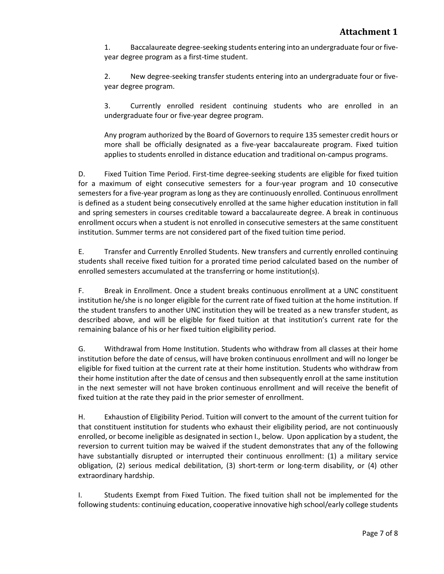1. Baccalaureate degree-seeking students entering into an undergraduate four or fiveyear degree program as a first-time student.

2. New degree-seeking transfer students entering into an undergraduate four or fiveyear degree program.

3. Currently enrolled resident continuing students who are enrolled in an undergraduate four or five-year degree program.

Any program authorized by the Board of Governors to require 135 semester credit hours or more shall be officially designated as a five-year baccalaureate program. Fixed tuition applies to students enrolled in distance education and traditional on-campus programs.

D. Fixed Tuition Time Period. First-time degree-seeking students are eligible for fixed tuition for a maximum of eight consecutive semesters for a four-year program and 10 consecutive semesters for a five-year program as long as they are continuously enrolled. Continuous enrollment is defined as a student being consecutively enrolled at the same higher education institution in fall and spring semesters in courses creditable toward a baccalaureate degree. A break in continuous enrollment occurs when a student is not enrolled in consecutive semesters at the same constituent institution. Summer terms are not considered part of the fixed tuition time period.

E. Transfer and Currently Enrolled Students. New transfers and currently enrolled continuing students shall receive fixed tuition for a prorated time period calculated based on the number of enrolled semesters accumulated at the transferring or home institution(s).

F. Break in Enrollment. Once a student breaks continuous enrollment at a UNC constituent institution he/she is no longer eligible for the current rate of fixed tuition at the home institution. If the student transfers to another UNC institution they will be treated as a new transfer student, as described above, and will be eligible for fixed tuition at that institution's current rate for the remaining balance of his or her fixed tuition eligibility period.

G. Withdrawal from Home Institution. Students who withdraw from all classes at their home institution before the date of census, will have broken continuous enrollment and will no longer be eligible for fixed tuition at the current rate at their home institution. Students who withdraw from their home institution after the date of census and then subsequently enroll at the same institution in the next semester will not have broken continuous enrollment and will receive the benefit of fixed tuition at the rate they paid in the prior semester of enrollment.

H. Exhaustion of Eligibility Period. Tuition will convert to the amount of the current tuition for that constituent institution for students who exhaust their eligibility period, are not continuously enrolled, or become ineligible as designated in section I., below. Upon application by a student, the reversion to current tuition may be waived if the student demonstrates that any of the following have substantially disrupted or interrupted their continuous enrollment: (1) a military service obligation, (2) serious medical debilitation, (3) short-term or long-term disability, or (4) other extraordinary hardship.

I. Students Exempt from Fixed Tuition. The fixed tuition shall not be implemented for the following students: continuing education, cooperative innovative high school/early college students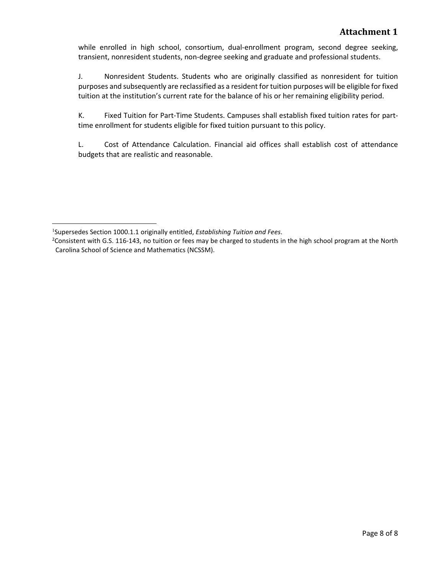while enrolled in high school, consortium, dual-enrollment program, second degree seeking, transient, nonresident students, non-degree seeking and graduate and professional students.

J. Nonresident Students. Students who are originally classified as nonresident for tuition purposes and subsequently are reclassified as a resident for tuition purposes will be eligible for fixed tuition at the institution's current rate for the balance of his or her remaining eligibility period.

K. Fixed Tuition for Part-Time Students. Campuses shall establish fixed tuition rates for parttime enrollment for students eligible for fixed tuition pursuant to this policy.

L. Cost of Attendance Calculation. Financial aid offices shall establish cost of attendance budgets that are realistic and reasonable.

<span id="page-11-0"></span><sup>1</sup> Supersedes Section 1000.1.1 originally entitled, *Establishing Tuition and Fees*.

<span id="page-11-1"></span><sup>&</sup>lt;sup>2</sup> Consistent with G.S. 116-143, no tuition or fees may be charged to students in the high school program at the North Carolina School of Science and Mathematics (NCSSM).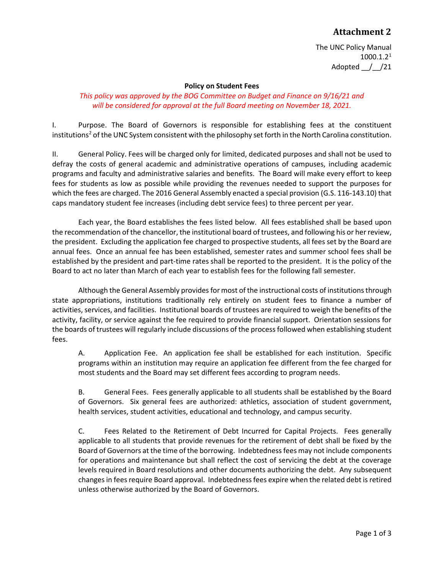The UNC Policy Manual 1000.1.2[1](#page-14-0) Adopted \_\_/\_\_/21

#### **Policy on Student Fees**

#### *This policy was approved by the BOG Committee on Budget and Finance on 9/16/21 and will be considered for approval at the full Board meeting on November 18, 2021.*

I. Purpose. The Board of Governors is responsible for establishing fees at the constituent institutions<sup>[2](#page-14-1)</sup> of the UNC System consistent with the philosophy set forth in the North Carolina constitution.

II. General Policy. Fees will be charged only for limited, dedicated purposes and shall not be used to defray the costs of general academic and administrative operations of campuses, including academic programs and faculty and administrative salaries and benefits. The Board will make every effort to keep fees for students as low as possible while providing the revenues needed to support the purposes for which the fees are charged. The 2016 General Assembly enacted a special provision (G.S. 116-143.10) that caps mandatory student fee increases (including debt service fees) to three percent per year.

Each year, the Board establishes the fees listed below. All fees established shall be based upon the recommendation of the chancellor, the institutional board of trustees, and following his or her review, the president. Excluding the application fee charged to prospective students, all fees set by the Board are annual fees. Once an annual fee has been established, semester rates and summer school fees shall be established by the president and part-time rates shall be reported to the president. It is the policy of the Board to act no later than March of each year to establish fees for the following fall semester.

Although the General Assembly provides for most of the instructional costs of institutions through state appropriations, institutions traditionally rely entirely on student fees to finance a number of activities, services, and facilities. Institutional boards of trustees are required to weigh the benefits of the activity, facility, or service against the fee required to provide financial support. Orientation sessions for the boards of trustees will regularly include discussions of the process followed when establishing student fees.

A. Application Fee. An application fee shall be established for each institution. Specific programs within an institution may require an application fee different from the fee charged for most students and the Board may set different fees according to program needs.

B. General Fees. Fees generally applicable to all students shall be established by the Board of Governors. Six general fees are authorized: athletics, association of student government, health services, student activities, educational and technology, and campus security.

C. Fees Related to the Retirement of Debt Incurred for Capital Projects. Fees generally applicable to all students that provide revenues for the retirement of debt shall be fixed by the Board of Governors at the time of the borrowing. Indebtedness fees may not include components for operations and maintenance but shall reflect the cost of servicing the debt at the coverage levels required in Board resolutions and other documents authorizing the debt. Any subsequent changes in fees require Board approval. Indebtedness fees expire when the related debt is retired unless otherwise authorized by the Board of Governors.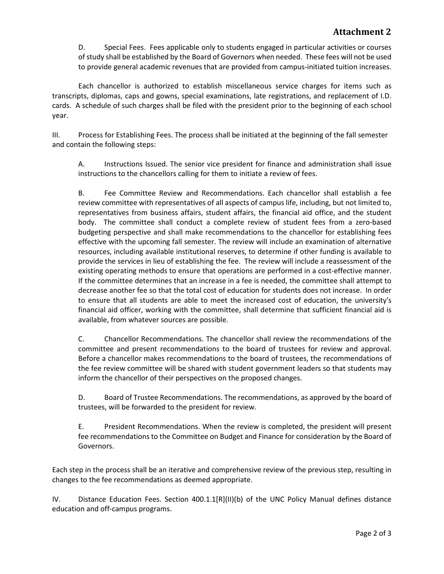D. Special Fees. Fees applicable only to students engaged in particular activities or courses of study shall be established by the Board of Governors when needed. These fees will not be used to provide general academic revenues that are provided from campus-initiated tuition increases.

Each chancellor is authorized to establish miscellaneous service charges for items such as transcripts, diplomas, caps and gowns, special examinations, late registrations, and replacement of I.D. cards. A schedule of such charges shall be filed with the president prior to the beginning of each school year.

III. Process for Establishing Fees. The process shall be initiated at the beginning of the fall semester and contain the following steps:

A. Instructions Issued. The senior vice president for finance and administration shall issue instructions to the chancellors calling for them to initiate a review of fees.

B. Fee Committee Review and Recommendations. Each chancellor shall establish a fee review committee with representatives of all aspects of campus life, including, but not limited to, representatives from business affairs, student affairs, the financial aid office, and the student body. The committee shall conduct a complete review of student fees from a zero-based budgeting perspective and shall make recommendations to the chancellor for establishing fees effective with the upcoming fall semester. The review will include an examination of alternative resources, including available institutional reserves, to determine if other funding is available to provide the services in lieu of establishing the fee. The review will include a reassessment of the existing operating methods to ensure that operations are performed in a cost-effective manner. If the committee determines that an increase in a fee is needed, the committee shall attempt to decrease another fee so that the total cost of education for students does not increase. In order to ensure that all students are able to meet the increased cost of education, the university's financial aid officer, working with the committee, shall determine that sufficient financial aid is available, from whatever sources are possible.

C. Chancellor Recommendations. The chancellor shall review the recommendations of the committee and present recommendations to the board of trustees for review and approval. Before a chancellor makes recommendations to the board of trustees, the recommendations of the fee review committee will be shared with student government leaders so that students may inform the chancellor of their perspectives on the proposed changes.

D. Board of Trustee Recommendations. The recommendations, as approved by the board of trustees, will be forwarded to the president for review.

E. President Recommendations. When the review is completed, the president will present fee recommendations to the Committee on Budget and Finance for consideration by the Board of Governors.

Each step in the process shall be an iterative and comprehensive review of the previous step, resulting in changes to the fee recommendations as deemed appropriate.

IV. Distance Education Fees. Section 400.1.1[R](II)(b) of the UNC Policy Manual defines distance education and off-campus programs.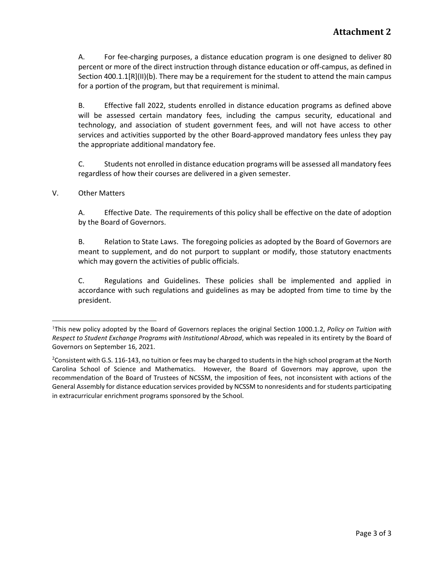A. For fee-charging purposes, a distance education program is one designed to deliver 80 percent or more of the direct instruction through distance education or off-campus, as defined in Section 400.1.1[R](II)(b). There may be a requirement for the student to attend the main campus for a portion of the program, but that requirement is minimal.

B. Effective fall 2022, students enrolled in distance education programs as defined above will be assessed certain mandatory fees, including the campus security, educational and technology, and association of student government fees, and will not have access to other services and activities supported by the other Board-approved mandatory fees unless they pay the appropriate additional mandatory fee.

C. Students not enrolled in distance education programs will be assessed all mandatory fees regardless of how their courses are delivered in a given semester.

#### V. Other Matters

A. Effective Date. The requirements of this policy shall be effective on the date of adoption by the Board of Governors.

B. Relation to State Laws. The foregoing policies as adopted by the Board of Governors are meant to supplement, and do not purport to supplant or modify, those statutory enactments which may govern the activities of public officials.

C. Regulations and Guidelines. These policies shall be implemented and applied in accordance with such regulations and guidelines as may be adopted from time to time by the president.

<span id="page-14-0"></span><sup>1</sup> This new policy adopted by the Board of Governors replaces the original Section 1000.1.2, *Policy on Tuition with Respect to Student Exchange Programs with Institutional Abroad*, which was repealed in its entirety by the Board of Governors on September 16, 2021.

<span id="page-14-1"></span><sup>&</sup>lt;sup>2</sup>Consistent with G.S. 116-143, no tuition or fees may be charged to students in the high school program at the North Carolina School of Science and Mathematics. However, the Board of Governors may approve, upon the recommendation of the Board of Trustees of NCSSM, the imposition of fees, not inconsistent with actions of the General Assembly for distance education services provided by NCSSM to nonresidents and for students participating in extracurricular enrichment programs sponsored by the School.